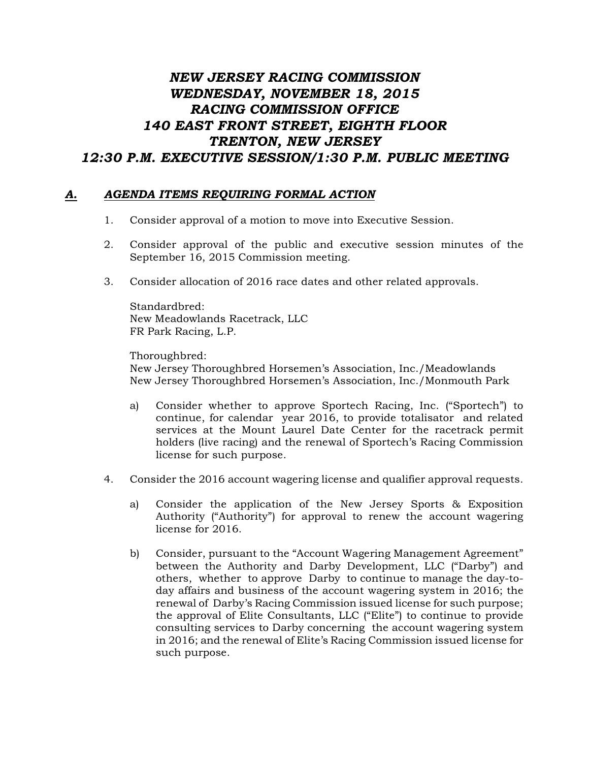## *NEW JERSEY RACING COMMISSION WEDNESDAY, NOVEMBER 18, 2015 RACING COMMISSION OFFICE 140 EAST FRONT STREET, EIGHTH FLOOR TRENTON, NEW JERSEY 12:30 P.M. EXECUTIVE SESSION/1:30 P.M. PUBLIC MEETING*

## *A. AGENDA ITEMS REQUIRING FORMAL ACTION*

- 1. Consider approval of a motion to move into Executive Session.
- 2. Consider approval of the public and executive session minutes of the September 16, 2015 Commission meeting.
- 3. Consider allocation of 2016 race dates and other related approvals.

Standardbred: New Meadowlands Racetrack, LLC FR Park Racing, L.P.

Thoroughbred: New Jersey Thoroughbred Horsemen's Association, Inc./Meadowlands New Jersey Thoroughbred Horsemen's Association, Inc./Monmouth Park

- a) Consider whether to approve Sportech Racing, Inc. ("Sportech") to continue, for calendar year 2016, to provide totalisator and related services at the Mount Laurel Date Center for the racetrack permit holders (live racing) and the renewal of Sportech's Racing Commission license for such purpose.
- 4. Consider the 2016 account wagering license and qualifier approval requests.
	- a) Consider the application of the New Jersey Sports & Exposition Authority ("Authority") for approval to renew the account wagering license for 2016.
	- b) Consider, pursuant to the "Account Wagering Management Agreement" between the Authority and Darby Development, LLC ("Darby") and others, whether to approve Darby to continue to manage the day-today affairs and business of the account wagering system in 2016; the renewal of Darby's Racing Commission issued license for such purpose; the approval of Elite Consultants, LLC ("Elite") to continue to provide consulting services to Darby concerning the account wagering system in 2016; and the renewal of Elite's Racing Commission issued license for such purpose.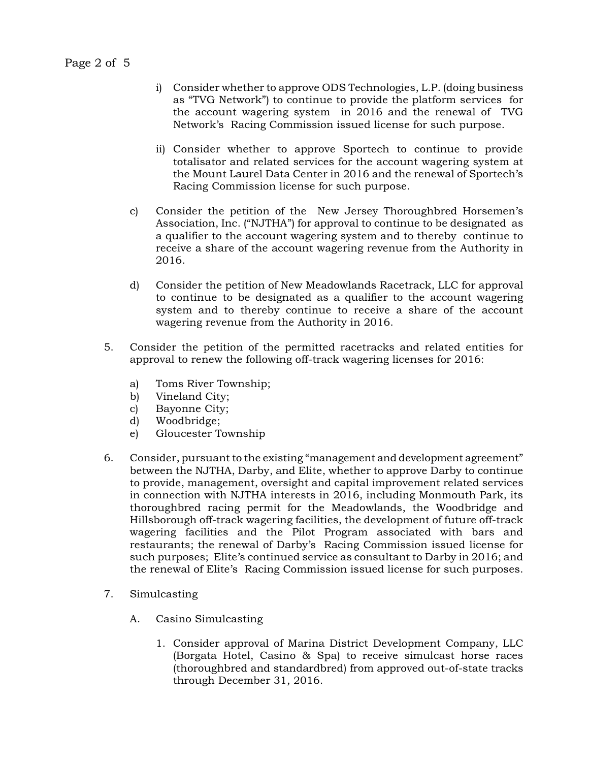- i) Consider whether to approve ODS Technologies, L.P. (doing business as "TVG Network") to continue to provide the platform services for the account wagering system in 2016 and the renewal of TVG Network's Racing Commission issued license for such purpose.
- ii) Consider whether to approve Sportech to continue to provide totalisator and related services for the account wagering system at the Mount Laurel Data Center in 2016 and the renewal of Sportech's Racing Commission license for such purpose.
- c) Consider the petition of the New Jersey Thoroughbred Horsemen's Association, Inc. ("NJTHA") for approval to continue to be designated as a qualifier to the account wagering system and to thereby continue to receive a share of the account wagering revenue from the Authority in 2016.
- d) Consider the petition of New Meadowlands Racetrack, LLC for approval to continue to be designated as a qualifier to the account wagering system and to thereby continue to receive a share of the account wagering revenue from the Authority in 2016.
- 5. Consider the petition of the permitted racetracks and related entities for approval to renew the following off-track wagering licenses for 2016:
	- a) Toms River Township;
	- b) Vineland City;
	- c) Bayonne City;
	- d) Woodbridge;
	- e) Gloucester Township
- 6. Consider, pursuant to the existing "management and development agreement" between the NJTHA, Darby, and Elite, whether to approve Darby to continue to provide, management, oversight and capital improvement related services in connection with NJTHA interests in 2016, including Monmouth Park, its thoroughbred racing permit for the Meadowlands, the Woodbridge and Hillsborough off-track wagering facilities, the development of future off-track wagering facilities and the Pilot Program associated with bars and restaurants; the renewal of Darby's Racing Commission issued license for such purposes; Elite's continued service as consultant to Darby in 2016; and the renewal of Elite's Racing Commission issued license for such purposes.
- 7. Simulcasting
	- A. Casino Simulcasting
		- 1. Consider approval of Marina District Development Company, LLC (Borgata Hotel, Casino & Spa) to receive simulcast horse races (thoroughbred and standardbred) from approved out-of-state tracks through December 31, 2016.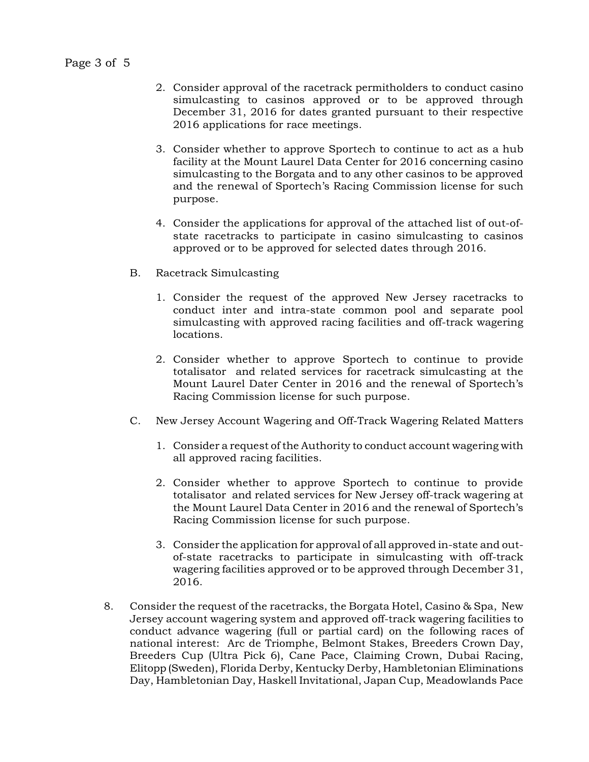- 2. Consider approval of the racetrack permitholders to conduct casino simulcasting to casinos approved or to be approved through December 31, 2016 for dates granted pursuant to their respective 2016 applications for race meetings.
- 3. Consider whether to approve Sportech to continue to act as a hub facility at the Mount Laurel Data Center for 2016 concerning casino simulcasting to the Borgata and to any other casinos to be approved and the renewal of Sportech's Racing Commission license for such purpose.
- 4. Consider the applications for approval of the attached list of out-ofstate racetracks to participate in casino simulcasting to casinos approved or to be approved for selected dates through 2016.
- B. Racetrack Simulcasting
	- 1. Consider the request of the approved New Jersey racetracks to conduct inter and intra-state common pool and separate pool simulcasting with approved racing facilities and off-track wagering locations.
	- 2. Consider whether to approve Sportech to continue to provide totalisator and related services for racetrack simulcasting at the Mount Laurel Dater Center in 2016 and the renewal of Sportech's Racing Commission license for such purpose.
- C. New Jersey Account Wagering and Off-Track Wagering Related Matters
	- 1. Consider a request of the Authority to conduct account wagering with all approved racing facilities.
	- 2. Consider whether to approve Sportech to continue to provide totalisator and related services for New Jersey off-track wagering at the Mount Laurel Data Center in 2016 and the renewal of Sportech's Racing Commission license for such purpose.
	- 3. Consider the application for approval of all approved in-state and outof-state racetracks to participate in simulcasting with off-track wagering facilities approved or to be approved through December 31, 2016.
- 8. Consider the request of the racetracks, the Borgata Hotel, Casino & Spa, New Jersey account wagering system and approved off-track wagering facilities to conduct advance wagering (full or partial card) on the following races of national interest: Arc de Triomphe, Belmont Stakes, Breeders Crown Day, Breeders Cup (Ultra Pick 6), Cane Pace, Claiming Crown, Dubai Racing, Elitopp (Sweden), Florida Derby, Kentucky Derby, Hambletonian Eliminations Day, Hambletonian Day, Haskell Invitational, Japan Cup, Meadowlands Pace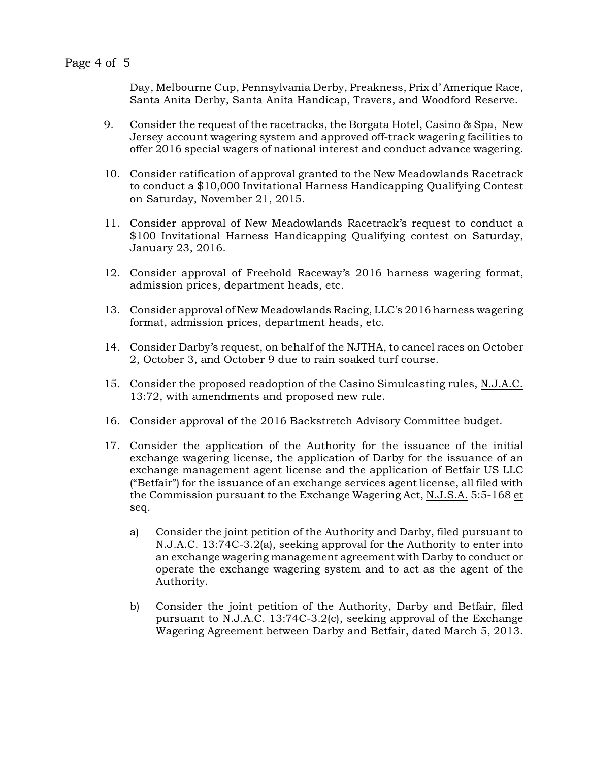Day, Melbourne Cup, Pennsylvania Derby, Preakness, Prix d' Amerique Race, Santa Anita Derby, Santa Anita Handicap, Travers, and Woodford Reserve.

- 9. Consider the request of the racetracks, the Borgata Hotel, Casino & Spa, New Jersey account wagering system and approved off-track wagering facilities to offer 2016 special wagers of national interest and conduct advance wagering.
- 10. Consider ratification of approval granted to the New Meadowlands Racetrack to conduct a \$10,000 Invitational Harness Handicapping Qualifying Contest on Saturday, November 21, 2015.
- 11. Consider approval of New Meadowlands Racetrack's request to conduct a \$100 Invitational Harness Handicapping Qualifying contest on Saturday, January 23, 2016.
- 12. Consider approval of Freehold Raceway's 2016 harness wagering format, admission prices, department heads, etc.
- 13. Consider approval of New Meadowlands Racing, LLC's 2016 harness wagering format, admission prices, department heads, etc.
- 14. Consider Darby's request, on behalf of the NJTHA, to cancel races on October 2, October 3, and October 9 due to rain soaked turf course.
- 15. Consider the proposed readoption of the Casino Simulcasting rules, N.J.A.C. 13:72, with amendments and proposed new rule.
- 16. Consider approval of the 2016 Backstretch Advisory Committee budget.
- 17. Consider the application of the Authority for the issuance of the initial exchange wagering license, the application of Darby for the issuance of an exchange management agent license and the application of Betfair US LLC ("Betfair") for the issuance of an exchange services agent license, all filed with the Commission pursuant to the Exchange Wagering Act, N.J.S.A. 5:5-168 et seq.
	- a) Consider the joint petition of the Authority and Darby, filed pursuant to N.J.A.C. 13:74C-3.2(a), seeking approval for the Authority to enter into an exchange wagering management agreement with Darby to conduct or operate the exchange wagering system and to act as the agent of the Authority.
	- b) Consider the joint petition of the Authority, Darby and Betfair, filed pursuant to N.J.A.C. 13:74C-3.2(c), seeking approval of the Exchange Wagering Agreement between Darby and Betfair, dated March 5, 2013.